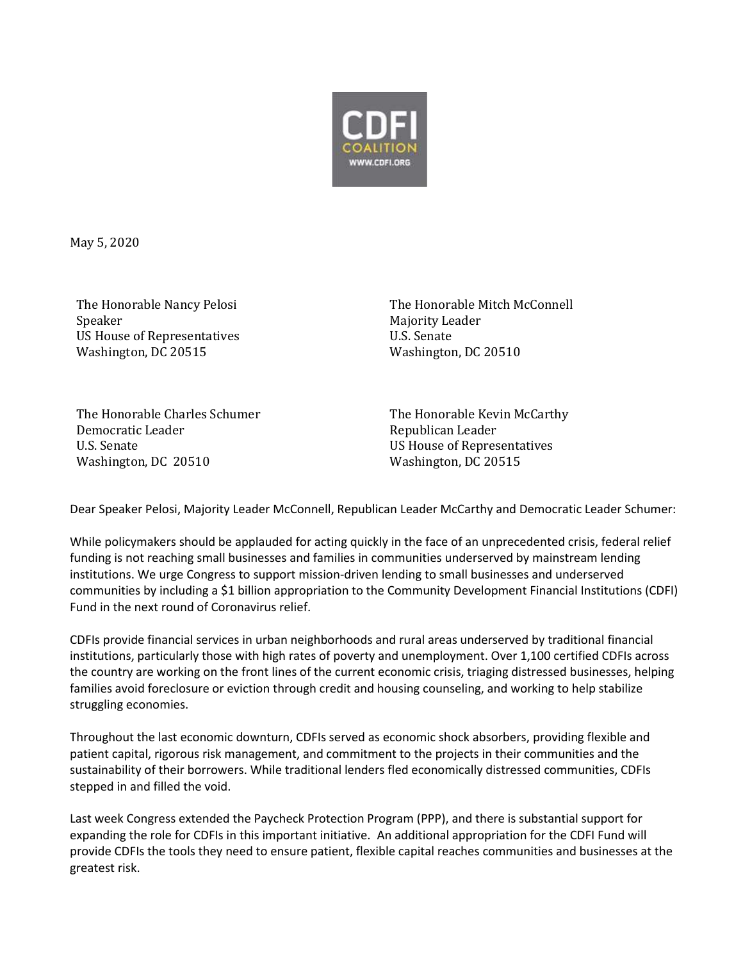

May 5, 2020

The Honorable Nancy Pelosi Speaker US House of Representatives Washington, DC 20515

The Honorable Mitch McConnell Majority Leader U.S. Senate Washington, DC 20510

The Honorable Charles Schumer Democratic Leader U.S. Senate Washington, DC 20510

The Honorable Kevin McCarthy Republican Leader US House of Representatives Washington, DC 20515

Dear Speaker Pelosi, Majority Leader McConnell, Republican Leader McCarthy and Democratic Leader Schumer:

While policymakers should be applauded for acting quickly in the face of an unprecedented crisis, federal relief funding is not reaching small businesses and families in communities underserved by mainstream lending institutions. We urge Congress to support mission-driven lending to small businesses and underserved communities by including a \$1 billion appropriation to the Community Development Financial Institutions (CDFI) Fund in the next round of Coronavirus relief.

CDFIs provide financial services in urban neighborhoods and rural areas underserved by traditional financial institutions, particularly those with high rates of poverty and unemployment. Over 1,100 certified CDFIs across the country are working on the front lines of the current economic crisis, triaging distressed businesses, helping families avoid foreclosure or eviction through credit and housing counseling, and working to help stabilize struggling economies.

Throughout the last economic downturn, CDFIs served as economic shock absorbers, providing flexible and patient capital, rigorous risk management, and commitment to the projects in their communities and the sustainability of their borrowers. While traditional lenders fled economically distressed communities, CDFIs stepped in and filled the void.

Last week Congress extended the Paycheck Protection Program (PPP), and there is substantial support for expanding the role for CDFIs in this important initiative. An additional appropriation for the CDFI Fund will provide CDFIs the tools they need to ensure patient, flexible capital reaches communities and businesses at the greatest risk.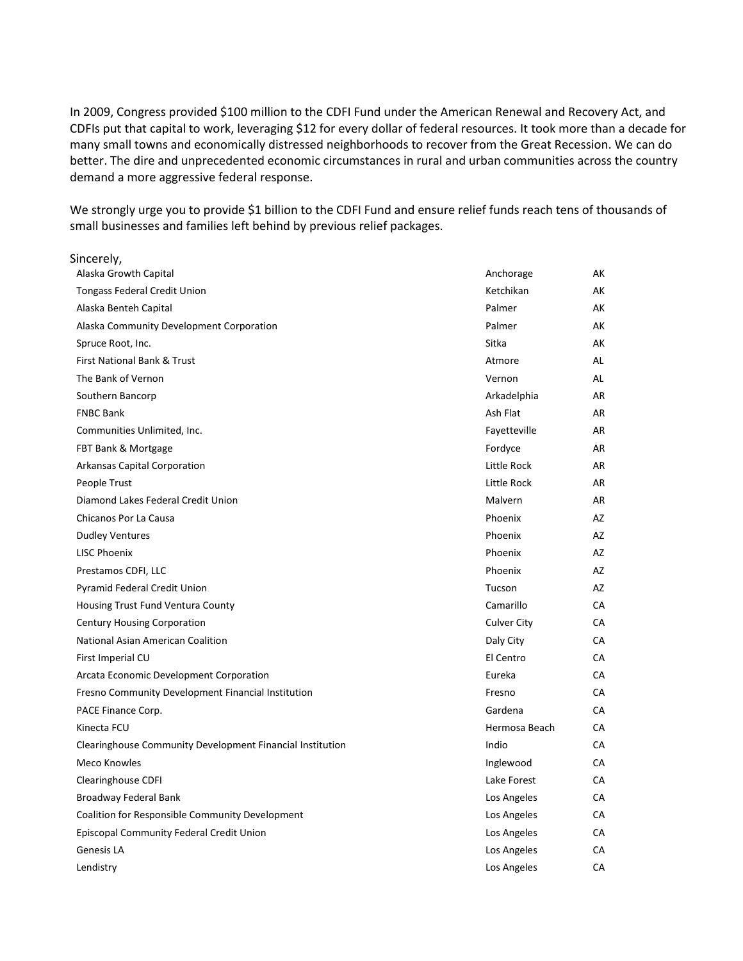In 2009, Congress provided \$100 million to the CDFI Fund under the American Renewal and Recovery Act, and CDFIs put that capital to work, leveraging \$12 for every dollar of federal resources. It took more than a decade for many small towns and economically distressed neighborhoods to recover from the Great Recession. We can do better. The dire and unprecedented economic circumstances in rural and urban communities across the country demand a more aggressive federal response.

We strongly urge you to provide \$1 billion to the CDFI Fund and ensure relief funds reach tens of thousands of small businesses and families left behind by previous relief packages.

| Sincerely,                                                |               |           |
|-----------------------------------------------------------|---------------|-----------|
| Alaska Growth Capital                                     | Anchorage     | АK        |
| <b>Tongass Federal Credit Union</b>                       | Ketchikan     | AK        |
| Alaska Benteh Capital                                     | Palmer        | AK        |
| Alaska Community Development Corporation                  | Palmer        | AK        |
| Spruce Root, Inc.                                         | Sitka         | AK        |
| First National Bank & Trust                               | Atmore        | AL        |
| The Bank of Vernon                                        | Vernon        | AL        |
| Southern Bancorp                                          | Arkadelphia   | AR        |
| <b>FNBC Bank</b>                                          | Ash Flat      | AR        |
| Communities Unlimited, Inc.                               | Fayetteville  | AR        |
| FBT Bank & Mortgage                                       | Fordyce       | AR        |
| Arkansas Capital Corporation                              | Little Rock   | AR        |
| People Trust                                              | Little Rock   | AR        |
| Diamond Lakes Federal Credit Union                        | Malvern       | AR        |
| Chicanos Por La Causa                                     | Phoenix       | AZ        |
| <b>Dudley Ventures</b>                                    | Phoenix       | AZ        |
| <b>LISC Phoenix</b>                                       | Phoenix       | AZ        |
| Prestamos CDFI, LLC                                       | Phoenix       | AZ        |
| Pyramid Federal Credit Union                              | Tucson        | AZ        |
| Housing Trust Fund Ventura County                         | Camarillo     | CA        |
| <b>Century Housing Corporation</b>                        | Culver City   | <b>CA</b> |
| National Asian American Coalition                         | Daly City     | <b>CA</b> |
| First Imperial CU                                         | El Centro     | <b>CA</b> |
| Arcata Economic Development Corporation                   | Eureka        | CA        |
| Fresno Community Development Financial Institution        | Fresno        | CA        |
| PACE Finance Corp.                                        | Gardena       | <b>CA</b> |
| Kinecta FCU                                               | Hermosa Beach | <b>CA</b> |
| Clearinghouse Community Development Financial Institution | Indio         | CA        |
| Meco Knowles                                              | Inglewood     | CA        |
| <b>Clearinghouse CDFI</b>                                 | Lake Forest   | <b>CA</b> |
| Broadway Federal Bank                                     | Los Angeles   | <b>CA</b> |
| Coalition for Responsible Community Development           | Los Angeles   | CA        |
| Episcopal Community Federal Credit Union                  | Los Angeles   | <b>CA</b> |
| Genesis LA                                                | Los Angeles   | <b>CA</b> |
| Lendistry                                                 | Los Angeles   | CA        |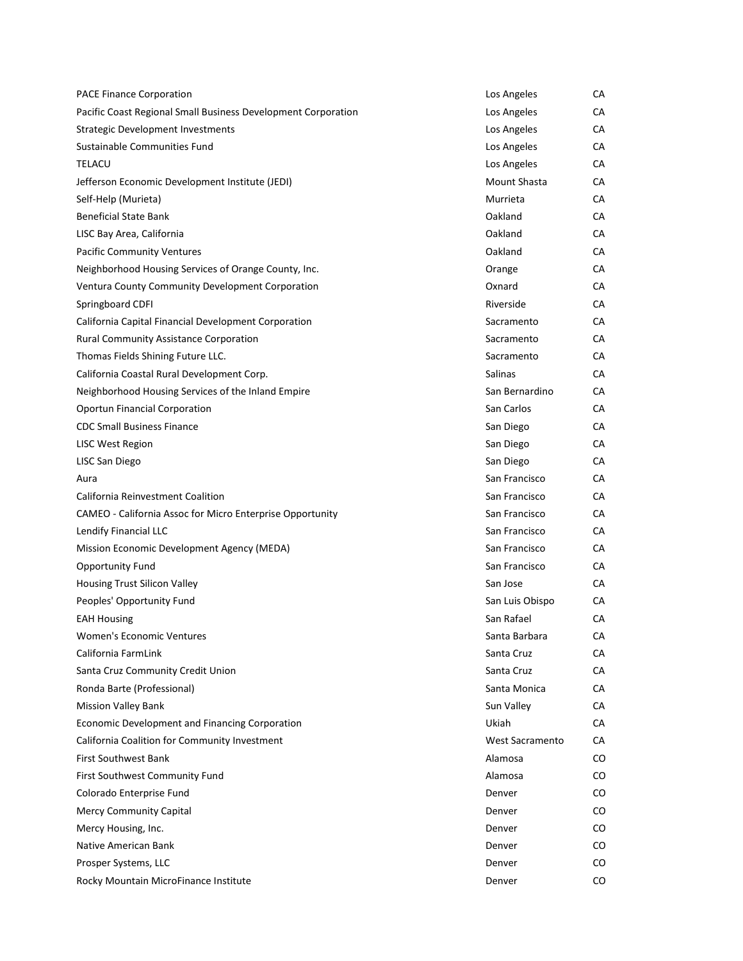| <b>PACE Finance Corporation</b>                               | Los Angeles     | СA        |
|---------------------------------------------------------------|-----------------|-----------|
| Pacific Coast Regional Small Business Development Corporation | Los Angeles     | CA        |
| <b>Strategic Development Investments</b>                      | Los Angeles     | СA        |
| Sustainable Communities Fund                                  | Los Angeles     | СA        |
| <b>TELACU</b>                                                 | Los Angeles     | СA        |
| Jefferson Economic Development Institute (JEDI)               | Mount Shasta    | <b>CA</b> |
| Self-Help (Murieta)                                           | Murrieta        | СA        |
| <b>Beneficial State Bank</b>                                  | Oakland         | СA        |
| LISC Bay Area, California                                     | Oakland         | СA        |
| <b>Pacific Community Ventures</b>                             | Oakland         | СA        |
| Neighborhood Housing Services of Orange County, Inc.          | Orange          | <b>CA</b> |
| Ventura County Community Development Corporation              | Oxnard          | СA        |
| Springboard CDFI                                              | Riverside       | СA        |
| California Capital Financial Development Corporation          | Sacramento      | СA        |
| Rural Community Assistance Corporation                        | Sacramento      | СA        |
| Thomas Fields Shining Future LLC.                             | Sacramento      | CA        |
| California Coastal Rural Development Corp.                    | Salinas         | СA        |
| Neighborhood Housing Services of the Inland Empire            | San Bernardino  | СA        |
| <b>Oportun Financial Corporation</b>                          | San Carlos      | СA        |
| <b>CDC Small Business Finance</b>                             | San Diego       | СA        |
| LISC West Region                                              | San Diego       | <b>CA</b> |
| LISC San Diego                                                | San Diego       | СA        |
| Aura                                                          | San Francisco   | СA        |
| California Reinvestment Coalition                             | San Francisco   | СA        |
| CAMEO - California Assoc for Micro Enterprise Opportunity     | San Francisco   | СA        |
| Lendify Financial LLC                                         | San Francisco   | <b>CA</b> |
| Mission Economic Development Agency (MEDA)                    | San Francisco   | СA        |
| <b>Opportunity Fund</b>                                       | San Francisco   | CA        |
| Housing Trust Silicon Valley                                  | San Jose        | CA        |
| Peoples' Opportunity Fund                                     | San Luis Obispo | CA        |
| <b>EAH Housing</b>                                            | San Rafael      | <b>CA</b> |
| Women's Economic Ventures                                     | Santa Barbara   | СA        |
| California FarmLink                                           | Santa Cruz      | СA        |
| Santa Cruz Community Credit Union                             | Santa Cruz      | СA        |
| Ronda Barte (Professional)                                    | Santa Monica    | СA        |
| <b>Mission Valley Bank</b>                                    | Sun Valley      | СA        |
| Economic Development and Financing Corporation                | Ukiah           | СA        |
| California Coalition for Community Investment                 | West Sacramento | CА        |
| <b>First Southwest Bank</b>                                   | Alamosa         | CO        |
| First Southwest Community Fund                                | Alamosa         | CO        |
| Colorado Enterprise Fund                                      | Denver          | CO        |
| <b>Mercy Community Capital</b>                                | Denver          | CO        |
| Mercy Housing, Inc.                                           | Denver          | CO        |
| Native American Bank                                          | Denver          | CO        |
| Prosper Systems, LLC                                          | Denver          | CO        |
| Rocky Mountain MicroFinance Institute                         | Denver          | CO        |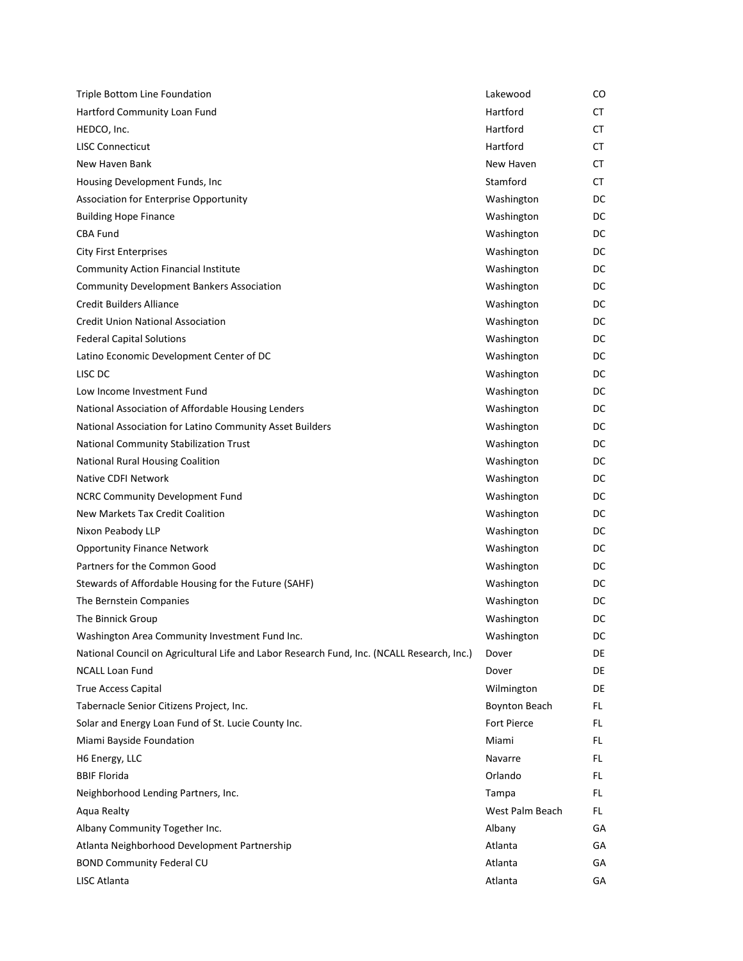| Triple Bottom Line Foundation                                                              | Lakewood             | CO  |
|--------------------------------------------------------------------------------------------|----------------------|-----|
| Hartford Community Loan Fund                                                               | Hartford             | CT  |
| HEDCO, Inc.                                                                                | Hartford             | CT  |
| <b>LISC Connecticut</b>                                                                    | Hartford             | CT. |
| New Haven Bank                                                                             | New Haven            | CT  |
| Housing Development Funds, Inc                                                             | Stamford             | CT  |
| Association for Enterprise Opportunity                                                     | Washington           | DC  |
| <b>Building Hope Finance</b>                                                               | Washington           | DC  |
| <b>CBA Fund</b>                                                                            | Washington           | DC  |
| <b>City First Enterprises</b>                                                              | Washington           | DC  |
| <b>Community Action Financial Institute</b>                                                | Washington           | DC  |
| <b>Community Development Bankers Association</b>                                           | Washington           | DC  |
| <b>Credit Builders Alliance</b>                                                            | Washington           | DC  |
| <b>Credit Union National Association</b>                                                   | Washington           | DC  |
| <b>Federal Capital Solutions</b>                                                           | Washington           | DC  |
| Latino Economic Development Center of DC                                                   | Washington           | DC  |
| LISC DC                                                                                    | Washington           | DC  |
| Low Income Investment Fund                                                                 | Washington           | DC  |
| National Association of Affordable Housing Lenders                                         | Washington           | DC  |
| National Association for Latino Community Asset Builders                                   | Washington           | DC  |
| National Community Stabilization Trust                                                     | Washington           | DC  |
| National Rural Housing Coalition                                                           | Washington           | DC  |
| Native CDFI Network                                                                        | Washington           | DC  |
| NCRC Community Development Fund                                                            | Washington           | DC  |
| New Markets Tax Credit Coalition                                                           | Washington           | DC  |
| Nixon Peabody LLP                                                                          | Washington           | DC  |
| <b>Opportunity Finance Network</b>                                                         | Washington           | DC  |
| Partners for the Common Good                                                               | Washington           | DC  |
| Stewards of Affordable Housing for the Future (SAHF)                                       | Washington           | DC  |
| The Bernstein Companies                                                                    | Washington           | DC  |
| The Binnick Group                                                                          | Washington           | DC  |
| Washington Area Community Investment Fund Inc.                                             | Washington           | DC  |
| National Council on Agricultural Life and Labor Research Fund, Inc. (NCALL Research, Inc.) | Dover                | DE  |
| <b>NCALL Loan Fund</b>                                                                     | Dover                | DE  |
| True Access Capital                                                                        | Wilmington           | DE  |
| Tabernacle Senior Citizens Project, Inc.                                                   | <b>Boynton Beach</b> | FL. |
| Solar and Energy Loan Fund of St. Lucie County Inc.                                        | Fort Pierce          | FL. |
| Miami Bayside Foundation                                                                   | Miami                | FL. |
| H6 Energy, LLC                                                                             | Navarre              | FL. |
| <b>BBIF Florida</b>                                                                        | Orlando              | FL. |
| Neighborhood Lending Partners, Inc.                                                        | Tampa                | FL. |
| Aqua Realty                                                                                | West Palm Beach      | FL. |
| Albany Community Together Inc.                                                             | Albany               | GА  |
| Atlanta Neighborhood Development Partnership                                               | Atlanta              | GА  |
|                                                                                            | Atlanta              |     |
| <b>BOND Community Federal CU</b>                                                           |                      | GА  |
| LISC Atlanta                                                                               | Atlanta              | GА  |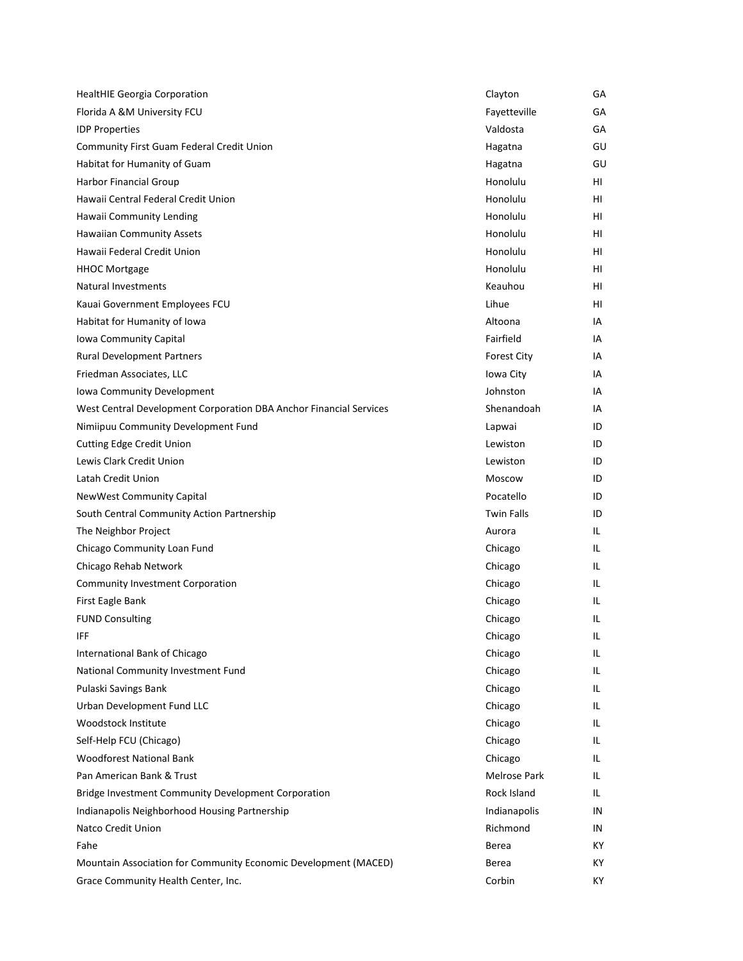| <b>HealtHIE Georgia Corporation</b>                                | Clayton            | GА  |
|--------------------------------------------------------------------|--------------------|-----|
| Florida A &M University FCU                                        | Fayetteville       | GA  |
| <b>IDP Properties</b>                                              | Valdosta           | GA  |
| Community First Guam Federal Credit Union                          | Hagatna            | GU  |
| Habitat for Humanity of Guam                                       | Hagatna            | GU  |
| <b>Harbor Financial Group</b>                                      | Honolulu           | HL  |
| Hawaii Central Federal Credit Union                                | Honolulu           | HL  |
| Hawaii Community Lending                                           | Honolulu           | HI  |
| <b>Hawaiian Community Assets</b>                                   | Honolulu           | HL  |
| Hawaii Federal Credit Union                                        | Honolulu           | HL  |
| <b>HHOC Mortgage</b>                                               | Honolulu           | HL  |
| <b>Natural Investments</b>                                         | Keauhou            | HL  |
| Kauai Government Employees FCU                                     | Lihue              | HI  |
| Habitat for Humanity of Iowa                                       | Altoona            | IA  |
| Iowa Community Capital                                             | Fairfield          | IA  |
| <b>Rural Development Partners</b>                                  | <b>Forest City</b> | IA  |
| Friedman Associates, LLC                                           | Iowa City          | IA  |
| Iowa Community Development                                         | Johnston           | ΙA  |
| West Central Development Corporation DBA Anchor Financial Services | Shenandoah         | IA  |
| Nimiipuu Community Development Fund                                | Lapwai             | ID  |
| <b>Cutting Edge Credit Union</b>                                   | Lewiston           | ID  |
| Lewis Clark Credit Union                                           | Lewiston           | ID  |
| Latah Credit Union                                                 | Moscow             | ID  |
| <b>NewWest Community Capital</b>                                   | Pocatello          | ID  |
| South Central Community Action Partnership                         | <b>Twin Falls</b>  | ID  |
| The Neighbor Project                                               | Aurora             | IL  |
| Chicago Community Loan Fund                                        | Chicago            | IL. |
| Chicago Rehab Network                                              | Chicago            | IL. |
| <b>Community Investment Corporation</b>                            | Chicago            | IL. |
| First Eagle Bank                                                   | Chicago            | IL. |
| <b>FUND Consulting</b>                                             | Chicago            | IL. |
| IFF                                                                | Chicago            | IL  |
| International Bank of Chicago                                      | Chicago            | IL. |
| National Community Investment Fund                                 | Chicago            | IL. |
| Pulaski Savings Bank                                               | Chicago            | IL. |
| Urban Development Fund LLC                                         | Chicago            | IL. |
| Woodstock Institute                                                | Chicago            | IL. |
| Self-Help FCU (Chicago)                                            | Chicago            | IL. |
| <b>Woodforest National Bank</b>                                    | Chicago            | IL. |
| Pan American Bank & Trust                                          | Melrose Park       | IL. |
| Bridge Investment Community Development Corporation                | Rock Island        | IL. |
| Indianapolis Neighborhood Housing Partnership                      | Indianapolis       | IN  |
| Natco Credit Union                                                 | Richmond           | IN. |
| Fahe                                                               | Berea              | КY  |
| Mountain Association for Community Economic Development (MACED)    | Berea              | КY  |
| Grace Community Health Center, Inc.                                | Corbin             | KY. |
|                                                                    |                    |     |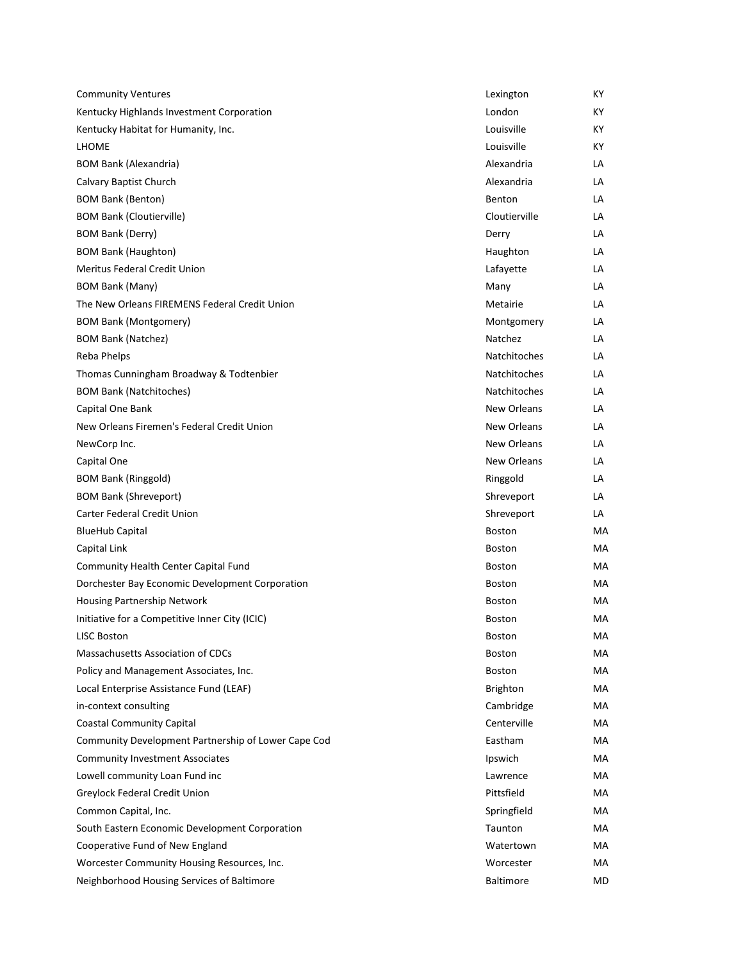| <b>Community Ventures</b>                           | Lexington           | KY. |
|-----------------------------------------------------|---------------------|-----|
| Kentucky Highlands Investment Corporation           | London              | KY. |
| Kentucky Habitat for Humanity, Inc.                 | Louisville          | KY. |
| <b>LHOME</b>                                        | Louisville          | KY. |
| <b>BOM Bank (Alexandria)</b>                        | Alexandria          | LA  |
| Calvary Baptist Church                              | Alexandria          | LA  |
| <b>BOM Bank (Benton)</b>                            | Benton              | LA  |
| <b>BOM Bank (Cloutierville)</b>                     | Cloutierville       | LA  |
| <b>BOM Bank (Derry)</b>                             | Derry               | LA  |
| <b>BOM Bank (Haughton)</b>                          | Haughton            | LA  |
| Meritus Federal Credit Union                        | Lafayette           | LA  |
| <b>BOM Bank (Many)</b>                              | Many                | LA  |
| The New Orleans FIREMENS Federal Credit Union       | Metairie            | LA  |
| <b>BOM Bank (Montgomery)</b>                        | Montgomery          | LA  |
| <b>BOM Bank (Natchez)</b>                           | Natchez             | LA  |
| Reba Phelps                                         | Natchitoches        | LA  |
| Thomas Cunningham Broadway & Todtenbier             | <b>Natchitoches</b> | LA  |
| <b>BOM Bank (Natchitoches)</b>                      | Natchitoches        | LA  |
| Capital One Bank                                    | New Orleans         | LA  |
| New Orleans Firemen's Federal Credit Union          | New Orleans         | LA  |
| NewCorp Inc.                                        | New Orleans         | LA  |
| Capital One                                         | New Orleans         | LA  |
| <b>BOM Bank (Ringgold)</b>                          | Ringgold            | LA  |
| <b>BOM Bank (Shreveport)</b>                        | Shreveport          | LA  |
| Carter Federal Credit Union                         | Shreveport          | LA  |
| <b>BlueHub Capital</b>                              | <b>Boston</b>       | MA  |
| Capital Link                                        | <b>Boston</b>       | MA  |
| Community Health Center Capital Fund                | Boston              | MA  |
| Dorchester Bay Economic Development Corporation     | Boston              | MA  |
| Housing Partnership Network                         | <b>Boston</b>       | MA  |
| Initiative for a Competitive Inner City (ICIC)      | <b>Boston</b>       | МA  |
| <b>LISC Boston</b>                                  | Boston              | МA  |
| Massachusetts Association of CDCs                   | Boston              | МA  |
| Policy and Management Associates, Inc.              | Boston              | МA  |
| Local Enterprise Assistance Fund (LEAF)             | <b>Brighton</b>     | MA  |
| in-context consulting                               | Cambridge           | МA  |
| <b>Coastal Community Capital</b>                    | Centerville         | MA  |
| Community Development Partnership of Lower Cape Cod | Eastham             | МA  |
| <b>Community Investment Associates</b>              | Ipswich             | МA  |
| Lowell community Loan Fund inc                      | Lawrence            | MA  |
| Greylock Federal Credit Union                       | Pittsfield          | МA  |
| Common Capital, Inc.                                | Springfield         | MA  |
| South Eastern Economic Development Corporation      | Taunton             | МA  |
| Cooperative Fund of New England                     | Watertown           | МA  |
| Worcester Community Housing Resources, Inc.         | Worcester           | МA  |
| Neighborhood Housing Services of Baltimore          | <b>Baltimore</b>    | MD  |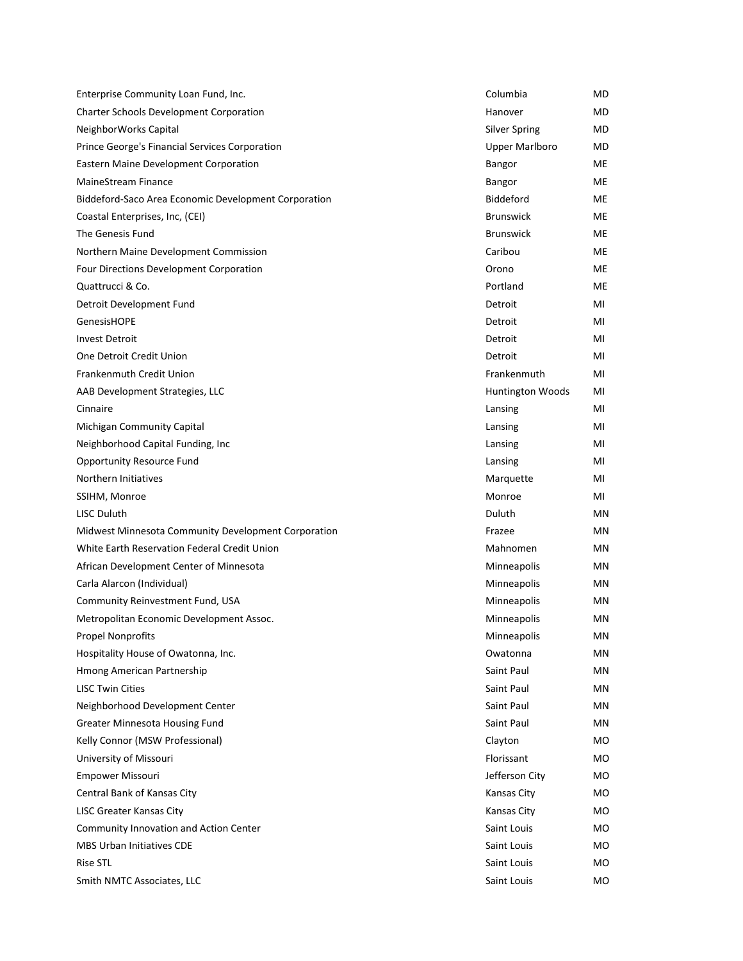| Enterprise Community Loan Fund, Inc.                 | Columbia              | MD. |
|------------------------------------------------------|-----------------------|-----|
| Charter Schools Development Corporation              | Hanover               | MD  |
| NeighborWorks Capital                                | <b>Silver Spring</b>  | MD  |
| Prince George's Financial Services Corporation       | <b>Upper Marlboro</b> | MD  |
| Eastern Maine Development Corporation                | Bangor                | ME  |
| <b>MaineStream Finance</b>                           | Bangor                | ME  |
| Biddeford-Saco Area Economic Development Corporation | <b>Biddeford</b>      | ME  |
| Coastal Enterprises, Inc, (CEI)                      | <b>Brunswick</b>      | ME. |
| The Genesis Fund                                     | <b>Brunswick</b>      | ME  |
| Northern Maine Development Commission                | Caribou               | ME  |
| Four Directions Development Corporation              | Orono                 | ME  |
| Quattrucci & Co.                                     | Portland              | ME  |
| Detroit Development Fund                             | Detroit               | MI  |
| <b>GenesisHOPE</b>                                   | Detroit               | MI  |
| <b>Invest Detroit</b>                                | Detroit               | MI  |
| One Detroit Credit Union                             | Detroit               | MI  |
| <b>Frankenmuth Credit Union</b>                      | Frankenmuth           | MI  |
| AAB Development Strategies, LLC                      | Huntington Woods      | MI  |
| Cinnaire                                             | Lansing               | MI  |
| Michigan Community Capital                           | Lansing               | MI  |
| Neighborhood Capital Funding, Inc.                   | Lansing               | MI  |
| <b>Opportunity Resource Fund</b>                     | Lansing               | MI  |
| Northern Initiatives                                 | Marquette             | MI  |
| SSIHM, Monroe                                        | Monroe                | MI  |
| LISC Duluth                                          | Duluth                | MN  |
| Midwest Minnesota Community Development Corporation  | Frazee                | MN  |
| White Earth Reservation Federal Credit Union         | Mahnomen              | MN  |
| African Development Center of Minnesota              | Minneapolis           | MN  |
| Carla Alarcon (Individual)                           | Minneapolis           | MN  |
| Community Reinvestment Fund, USA                     | Minneapolis           | MN  |
| Metropolitan Economic Development Assoc.             | Minneapolis           | ΜN  |
| <b>Propel Nonprofits</b>                             | Minneapolis           | MN  |
| Hospitality House of Owatonna, Inc.                  | Owatonna              | ΜN  |
| Hmong American Partnership                           | Saint Paul            | ΜN  |
| <b>LISC Twin Cities</b>                              | Saint Paul            | MN  |
| Neighborhood Development Center                      | Saint Paul            | ΜN  |
| <b>Greater Minnesota Housing Fund</b>                | Saint Paul            | ΜN  |
| Kelly Connor (MSW Professional)                      | Clayton               | MO  |
| University of Missouri                               | Florissant            | MO  |
| <b>Empower Missouri</b>                              | Jefferson City        | MO  |
| Central Bank of Kansas City                          | Kansas City           | MO  |
| <b>LISC Greater Kansas City</b>                      | Kansas City           | MO  |
| Community Innovation and Action Center               | Saint Louis           | MO  |
| <b>MBS Urban Initiatives CDE</b>                     | Saint Louis           | MO  |
| <b>Rise STL</b>                                      |                       |     |
|                                                      | Saint Louis           | MO  |
| Smith NMTC Associates, LLC                           | Saint Louis           | MO  |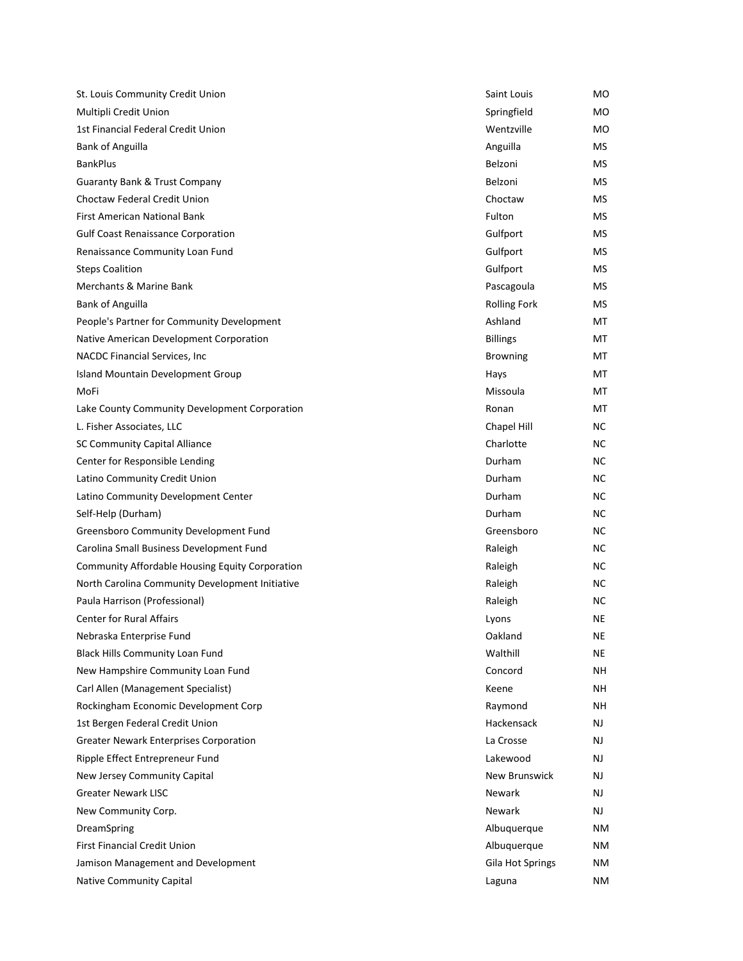| St. Louis Community Credit Union                | Saint Louis          | MO  |
|-------------------------------------------------|----------------------|-----|
| Multipli Credit Union                           | Springfield          | MO  |
| 1st Financial Federal Credit Union              | Wentzville           | MO  |
| <b>Bank of Anguilla</b>                         | Anguilla             | MS. |
| <b>BankPlus</b>                                 | Belzoni              | MS  |
| <b>Guaranty Bank &amp; Trust Company</b>        | Belzoni              | MS. |
| Choctaw Federal Credit Union                    | Choctaw              | МS  |
| <b>First American National Bank</b>             | Fulton               | MS. |
| <b>Gulf Coast Renaissance Corporation</b>       | Gulfport             | MS  |
| Renaissance Community Loan Fund                 | Gulfport             | MS  |
| <b>Steps Coalition</b>                          | Gulfport             | МS  |
| Merchants & Marine Bank                         | Pascagoula           | МS  |
| <b>Bank of Anguilla</b>                         | <b>Rolling Fork</b>  | MS. |
| People's Partner for Community Development      | Ashland              | МT  |
| Native American Development Corporation         | <b>Billings</b>      | МT  |
| NACDC Financial Services, Inc.                  | <b>Browning</b>      | МT  |
| Island Mountain Development Group               | Hays                 | МT  |
| MoFi                                            | Missoula             | МT  |
| Lake County Community Development Corporation   | Ronan                | МT  |
| L. Fisher Associates, LLC                       | Chapel Hill          | NC. |
| SC Community Capital Alliance                   | Charlotte            | NС  |
| Center for Responsible Lending                  | Durham               | NC. |
| Latino Community Credit Union                   | Durham               | NС  |
| Latino Community Development Center             | Durham               | NС  |
| Self-Help (Durham)                              | Durham               | NC. |
| Greensboro Community Development Fund           | Greensboro           | NС  |
| Carolina Small Business Development Fund        | Raleigh              | NC. |
| Community Affordable Housing Equity Corporation | Raleigh              | NС  |
| North Carolina Community Development Initiative | Raleigh              | NС  |
| Paula Harrison (Professional)                   | Raleigh              | NС  |
| <b>Center for Rural Affairs</b>                 | Lyons                | NE  |
| Nebraska Enterprise Fund                        | Oakland              | NE  |
| <b>Black Hills Community Loan Fund</b>          | Walthill             | ΝE  |
| New Hampshire Community Loan Fund               | Concord              | NΗ  |
| Carl Allen (Management Specialist)              | Keene                | NΗ  |
| Rockingham Economic Development Corp            | Raymond              | NΗ  |
| 1st Bergen Federal Credit Union                 | Hackensack           | NJ  |
| <b>Greater Newark Enterprises Corporation</b>   | La Crosse            | NJ  |
| Ripple Effect Entrepreneur Fund                 | Lakewood             | NJ. |
| New Jersey Community Capital                    | <b>New Brunswick</b> | NJ  |
| <b>Greater Newark LISC</b>                      | Newark               | NJ. |
| New Community Corp.                             | Newark               | NJ  |
| DreamSpring                                     | Albuquerque          | ΝM  |
| <b>First Financial Credit Union</b>             | Albuquerque          | ΝM  |
| Jamison Management and Development              | Gila Hot Springs     | ΝM  |
| Native Community Capital                        | Laguna               | ΝM  |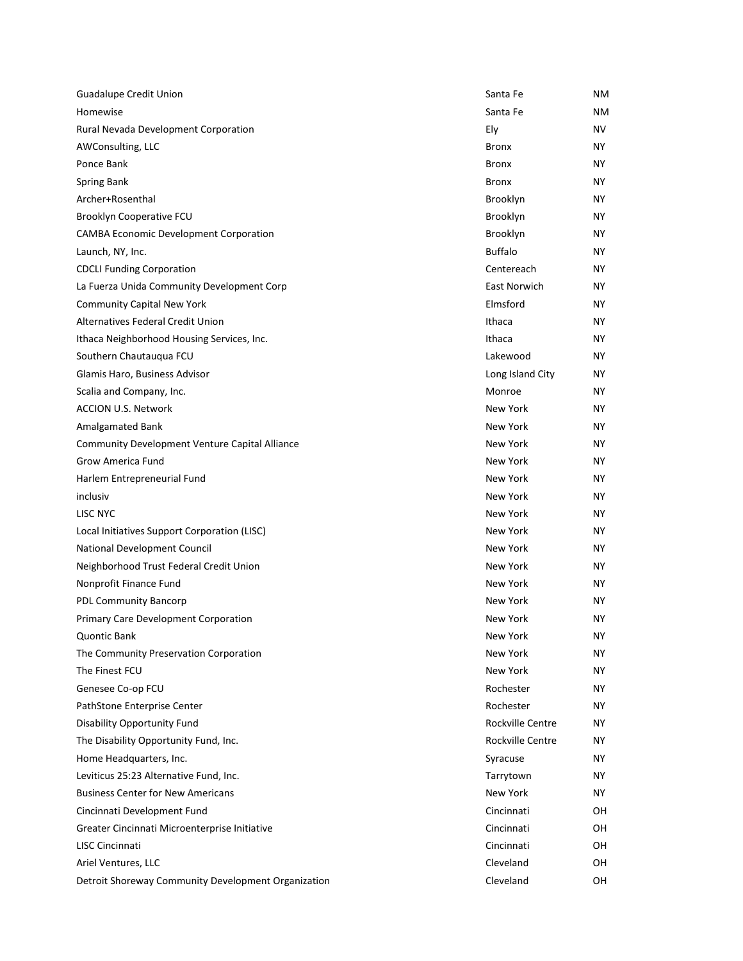| <b>Guadalupe Credit Union</b>                         | Santa Fe         | NΜ  |
|-------------------------------------------------------|------------------|-----|
| Homewise                                              | Santa Fe         | NΜ  |
| Rural Nevada Development Corporation                  | Ely              | NV  |
| AWConsulting, LLC                                     | Bronx            | NΥ  |
| Ponce Bank                                            | <b>Bronx</b>     | NY. |
| Spring Bank                                           | <b>Bronx</b>     | NY. |
| Archer+Rosenthal                                      | Brooklyn         | ΝY  |
| Brooklyn Cooperative FCU                              | Brooklyn         | NΥ  |
| <b>CAMBA Economic Development Corporation</b>         | Brooklyn         | NΥ  |
| Launch, NY, Inc.                                      | <b>Buffalo</b>   | NY. |
| <b>CDCLI Funding Corporation</b>                      | Centereach       | NΥ  |
| La Fuerza Unida Community Development Corp            | East Norwich     | NY. |
| <b>Community Capital New York</b>                     | Elmsford         | NΥ  |
| Alternatives Federal Credit Union                     | Ithaca           | NΥ  |
| Ithaca Neighborhood Housing Services, Inc.            | Ithaca           | NY. |
| Southern Chautauqua FCU                               | Lakewood         | NΥ  |
| Glamis Haro, Business Advisor                         | Long Island City | NY. |
| Scalia and Company, Inc.                              | Monroe           | NΥ  |
| <b>ACCION U.S. Network</b>                            | New York         | NΥ  |
| Amalgamated Bank                                      | New York         | NY. |
| <b>Community Development Venture Capital Alliance</b> | New York         | NΥ  |
| Grow America Fund                                     | New York         | ΝY  |
| Harlem Entrepreneurial Fund                           | New York         | NΥ  |
| inclusiv                                              | New York         | NΥ  |
| LISC NYC                                              | New York         | NY. |
| Local Initiatives Support Corporation (LISC)          | New York         | NΥ  |
| National Development Council                          | New York         | NY. |
| Neighborhood Trust Federal Credit Union               | New York         | NΥ  |
| Nonprofit Finance Fund                                | New York         | NΥ  |
| <b>PDL Community Bancorp</b>                          | New York         | NY. |
| Primary Care Development Corporation                  | <b>New York</b>  | NΥ  |
| <b>Quontic Bank</b>                                   | New York         | ΝY  |
| The Community Preservation Corporation                | New York         | ΝY  |
| The Finest FCU                                        | New York         | NΥ  |
| Genesee Co-op FCU                                     | Rochester        | NY. |
| PathStone Enterprise Center                           | Rochester        | ΝY  |
| <b>Disability Opportunity Fund</b>                    | Rockville Centre | NΥ  |
| The Disability Opportunity Fund, Inc.                 | Rockville Centre | ΝY  |
| Home Headquarters, Inc.                               | Syracuse         | ΝY  |
| Leviticus 25:23 Alternative Fund, Inc.                | Tarrytown        | NY. |
| <b>Business Center for New Americans</b>              | New York         | ΝY  |
| Cincinnati Development Fund                           | Cincinnati       | OH  |
| Greater Cincinnati Microenterprise Initiative         | Cincinnati       | OН  |
| LISC Cincinnati                                       | Cincinnati       | OН  |
| Ariel Ventures, LLC                                   | Cleveland        | OH  |
| Detroit Shoreway Community Development Organization   | Cleveland        | OH  |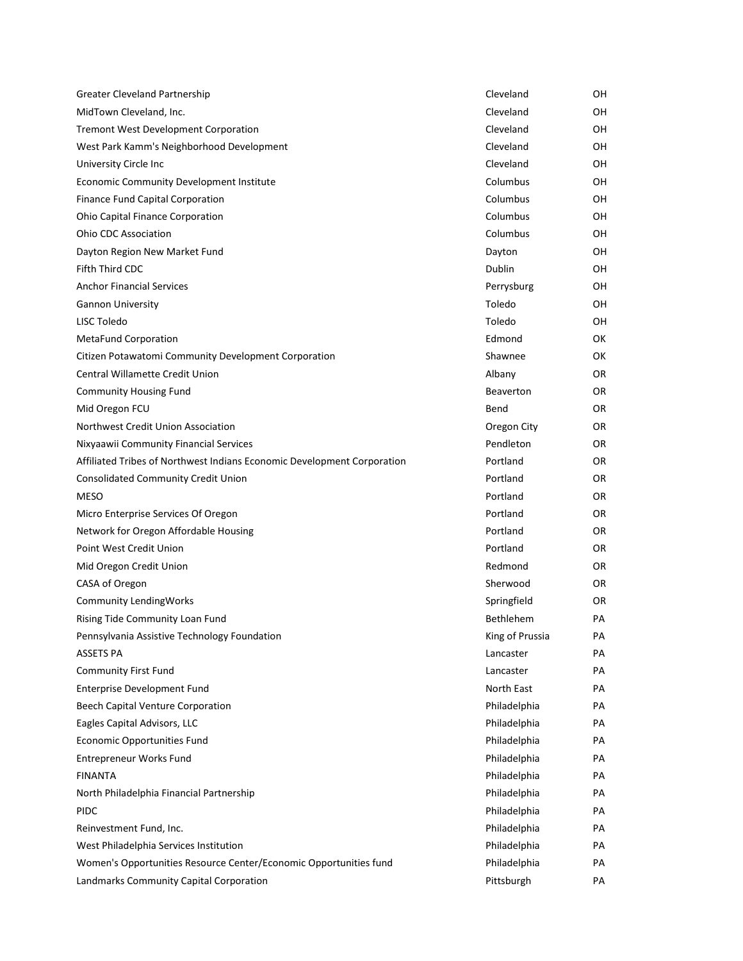| Greater Cleveland Partnership                                           | Cleveland        | OН  |
|-------------------------------------------------------------------------|------------------|-----|
| MidTown Cleveland, Inc.                                                 | Cleveland        | 0H  |
| Tremont West Development Corporation                                    | Cleveland        | OH  |
| West Park Kamm's Neighborhood Development                               | Cleveland        | OН  |
| University Circle Inc                                                   | Cleveland        | OН  |
| Economic Community Development Institute                                | Columbus         | 0H  |
| Finance Fund Capital Corporation                                        | Columbus         | 0H  |
| Ohio Capital Finance Corporation                                        | Columbus         | OH  |
| <b>Ohio CDC Association</b>                                             | Columbus         | OН  |
| Dayton Region New Market Fund                                           | Dayton           | OН  |
| Fifth Third CDC                                                         | Dublin           | 0H  |
| <b>Anchor Financial Services</b>                                        | Perrysburg       | OН  |
| <b>Gannon University</b>                                                | Toledo           | OH  |
| LISC Toledo                                                             | Toledo           | OH  |
| <b>MetaFund Corporation</b>                                             | Edmond           | 0K  |
| Citizen Potawatomi Community Development Corporation                    | Shawnee          | 0K  |
| Central Willamette Credit Union                                         | Albany           | 0R  |
| <b>Community Housing Fund</b>                                           | <b>Beaverton</b> | OR. |
| Mid Oregon FCU                                                          | Bend             | OR. |
| Northwest Credit Union Association                                      | Oregon City      | OR. |
| Nixyaawii Community Financial Services                                  | Pendleton        | OR. |
| Affiliated Tribes of Northwest Indians Economic Development Corporation | Portland         | 0R  |
| Consolidated Community Credit Union                                     | Portland         | OR. |
| <b>MESO</b>                                                             | Portland         | OR. |
| Micro Enterprise Services Of Oregon                                     | Portland         | OR. |
| Network for Oregon Affordable Housing                                   | Portland         | OR. |
| Point West Credit Union                                                 | Portland         | 0R  |
| Mid Oregon Credit Union                                                 | Redmond          | OR. |
| CASA of Oregon                                                          | Sherwood         | OR. |
| <b>Community LendingWorks</b>                                           | Springfield      | 0R  |
| Rising Tide Community Loan Fund                                         | <b>Bethlehem</b> | PA  |
| Pennsylvania Assistive Technology Foundation                            | King of Prussia  | PА  |
| ASSETS PA                                                               | Lancaster        | PА  |
| Community First Fund                                                    | Lancaster        | PА  |
| Enterprise Development Fund                                             | North East       | PА  |
| Beech Capital Venture Corporation                                       | Philadelphia     | PА  |
| Eagles Capital Advisors, LLC                                            | Philadelphia     | PА  |
| <b>Economic Opportunities Fund</b>                                      | Philadelphia     | PА  |
| Entrepreneur Works Fund                                                 | Philadelphia     | PА  |
| <b>FINANTA</b>                                                          | Philadelphia     | PА  |
| North Philadelphia Financial Partnership                                | Philadelphia     | PА  |
| <b>PIDC</b>                                                             | Philadelphia     | PА  |
| Reinvestment Fund, Inc.                                                 | Philadelphia     | PА  |
| West Philadelphia Services Institution                                  | Philadelphia     | PА  |
| Women's Opportunities Resource Center/Economic Opportunities fund       | Philadelphia     | PА  |
| Landmarks Community Capital Corporation                                 | Pittsburgh       | PА  |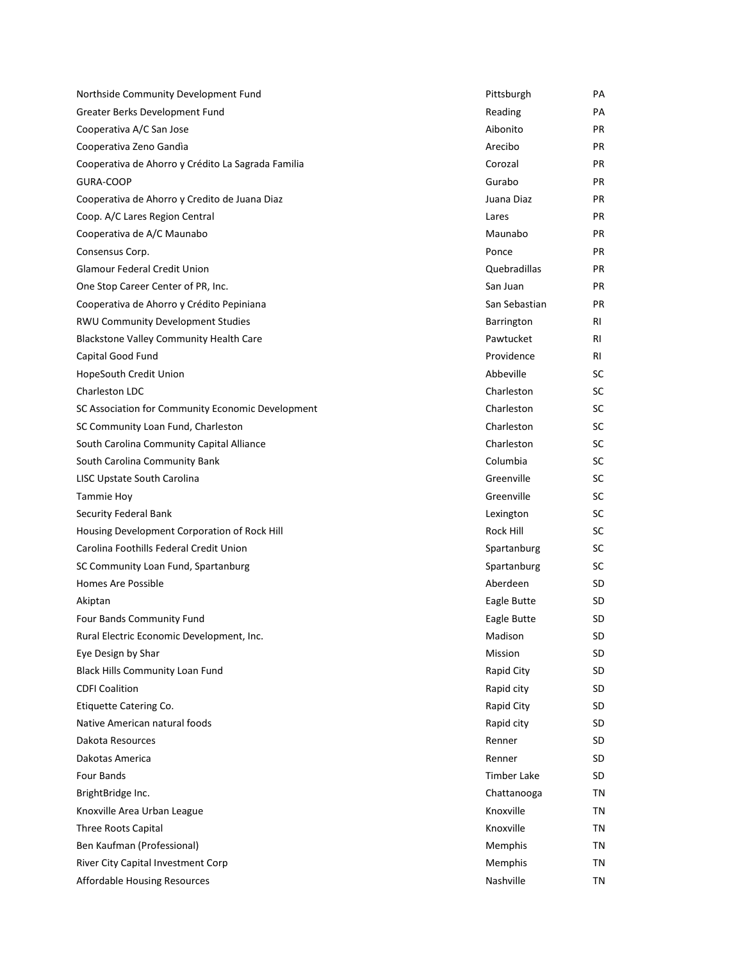| Northside Community Development Fund               | Pittsburgh         | PA        |
|----------------------------------------------------|--------------------|-----------|
| Greater Berks Development Fund                     | Reading            | PA        |
| Cooperativa A/C San Jose                           | Aibonito           | <b>PR</b> |
| Cooperativa Zeno Gandia                            | Arecibo            | <b>PR</b> |
| Cooperativa de Ahorro y Crédito La Sagrada Familia | Corozal            | <b>PR</b> |
| GURA-COOP                                          | Gurabo             | PR.       |
| Cooperativa de Ahorro y Credito de Juana Diaz      | Juana Diaz         | PR.       |
| Coop. A/C Lares Region Central                     | Lares              | <b>PR</b> |
| Cooperativa de A/C Maunabo                         | Maunabo            | <b>PR</b> |
| Consensus Corp.                                    | Ponce              | <b>PR</b> |
| <b>Glamour Federal Credit Union</b>                | Quebradillas       | PR.       |
| One Stop Career Center of PR, Inc.                 | San Juan           | PR.       |
| Cooperativa de Ahorro y Crédito Pepiniana          | San Sebastian      | <b>PR</b> |
| <b>RWU Community Development Studies</b>           | Barrington         | RI        |
| <b>Blackstone Valley Community Health Care</b>     | Pawtucket          | RI        |
| Capital Good Fund                                  | Providence         | RI        |
| HopeSouth Credit Union                             | Abbeville          | SC        |
| Charleston LDC                                     | Charleston         | SC        |
| SC Association for Community Economic Development  | Charleston         | SC        |
| SC Community Loan Fund, Charleston                 | Charleston         | SC        |
| South Carolina Community Capital Alliance          | Charleston         | SC        |
| South Carolina Community Bank                      | Columbia           | SC        |
| LISC Upstate South Carolina                        | Greenville         | SC        |
| <b>Tammie Hoy</b>                                  | Greenville         | SC        |
| Security Federal Bank                              | Lexington          | SC        |
| Housing Development Corporation of Rock Hill       | Rock Hill          | SC        |
| Carolina Foothills Federal Credit Union            | Spartanburg        | SC        |
| SC Community Loan Fund, Spartanburg                | Spartanburg        | SC        |
| Homes Are Possible                                 | Aberdeen           | SD        |
| Akiptan                                            | Eagle Butte        | SD        |
| Four Bands Community Fund                          | Eagle Butte        | SD        |
| Rural Electric Economic Development, Inc.          | Madison            | SD        |
| Eye Design by Shar                                 | Mission            | <b>SD</b> |
| <b>Black Hills Community Loan Fund</b>             | Rapid City         | SD        |
| <b>CDFI Coalition</b>                              | Rapid city         | <b>SD</b> |
| Etiquette Catering Co.                             | Rapid City         | SD        |
| Native American natural foods                      | Rapid city         | SD        |
| Dakota Resources                                   | Renner             | <b>SD</b> |
| Dakotas America                                    | Renner             | SD        |
| Four Bands                                         | <b>Timber Lake</b> | <b>SD</b> |
| BrightBridge Inc.                                  | Chattanooga        | ΤN        |
| Knoxville Area Urban League                        | Knoxville          | ΤN        |
| Three Roots Capital                                | Knoxville          | ΤN        |
| Ben Kaufman (Professional)                         | Memphis            | ΤN        |
| River City Capital Investment Corp                 | Memphis            | ΤN        |
| Affordable Housing Resources                       | Nashville          | ΤN        |
|                                                    |                    |           |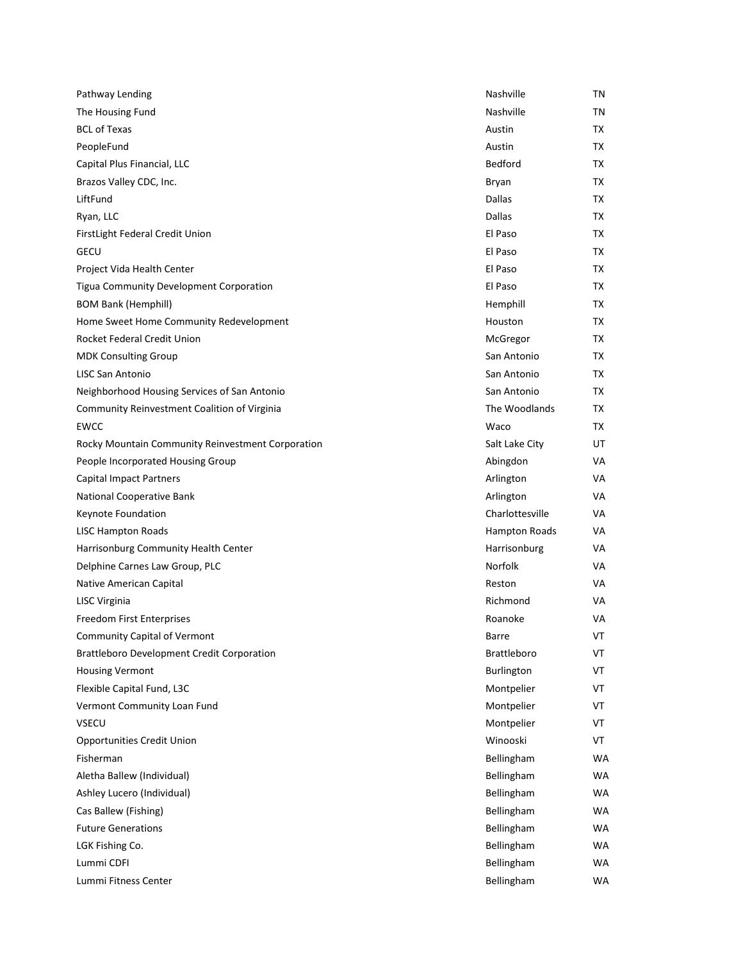| Pathway Lending                                   | Nashville          | ΤN |
|---------------------------------------------------|--------------------|----|
| The Housing Fund                                  | Nashville          | ΤN |
| <b>BCL of Texas</b>                               | Austin             | TX |
| PeopleFund                                        | Austin             | TX |
| Capital Plus Financial, LLC                       | Bedford            | TX |
| Brazos Valley CDC, Inc.                           | Bryan              | TX |
| LiftFund                                          | Dallas             | TX |
| Ryan, LLC                                         | Dallas             | TX |
| FirstLight Federal Credit Union                   | El Paso            | TX |
| <b>GECU</b>                                       | El Paso            | TX |
| Project Vida Health Center                        | El Paso            | TX |
| Tigua Community Development Corporation           | El Paso            | TX |
| <b>BOM Bank (Hemphill)</b>                        | Hemphill           | TX |
| Home Sweet Home Community Redevelopment           | Houston            | TX |
| Rocket Federal Credit Union                       | McGregor           | TX |
| <b>MDK Consulting Group</b>                       | San Antonio        | TX |
| <b>LISC San Antonio</b>                           | San Antonio        | TX |
| Neighborhood Housing Services of San Antonio      | San Antonio        | TX |
| Community Reinvestment Coalition of Virginia      | The Woodlands      | TX |
| <b>EWCC</b>                                       | Waco               | TX |
| Rocky Mountain Community Reinvestment Corporation | Salt Lake City     | UT |
| People Incorporated Housing Group                 | Abingdon           | VA |
| <b>Capital Impact Partners</b>                    | Arlington          | VA |
| National Cooperative Bank                         | Arlington          | VA |
| Keynote Foundation                                | Charlottesville    | VA |
| <b>LISC Hampton Roads</b>                         | Hampton Roads      | VA |
| Harrisonburg Community Health Center              | Harrisonburg       | VA |
| Delphine Carnes Law Group, PLC                    | Norfolk            | VA |
| Native American Capital                           | Reston             | VA |
| LISC Virginia                                     | Richmond           | VA |
| Freedom First Enterprises                         | Roanoke            | VA |
| <b>Community Capital of Vermont</b>               | Barre              | VT |
| <b>Brattleboro Development Credit Corporation</b> | <b>Brattleboro</b> | VT |
| <b>Housing Vermont</b>                            | Burlington         | VT |
| Flexible Capital Fund, L3C                        | Montpelier         | VT |
| Vermont Community Loan Fund                       | Montpelier         | VT |
| <b>VSECU</b>                                      | Montpelier         | VT |
| <b>Opportunities Credit Union</b>                 | Winooski           | VT |
| Fisherman                                         | Bellingham         | WA |
| Aletha Ballew (Individual)                        | Bellingham         | WA |
| Ashley Lucero (Individual)                        | Bellingham         | WA |
| Cas Ballew (Fishing)                              | Bellingham         | WA |
| <b>Future Generations</b>                         | Bellingham         | WA |
| LGK Fishing Co.                                   | Bellingham         | WA |
| Lummi CDFI                                        | Bellingham         | WA |
| Lummi Fitness Center                              | Bellingham         | WA |
|                                                   |                    |    |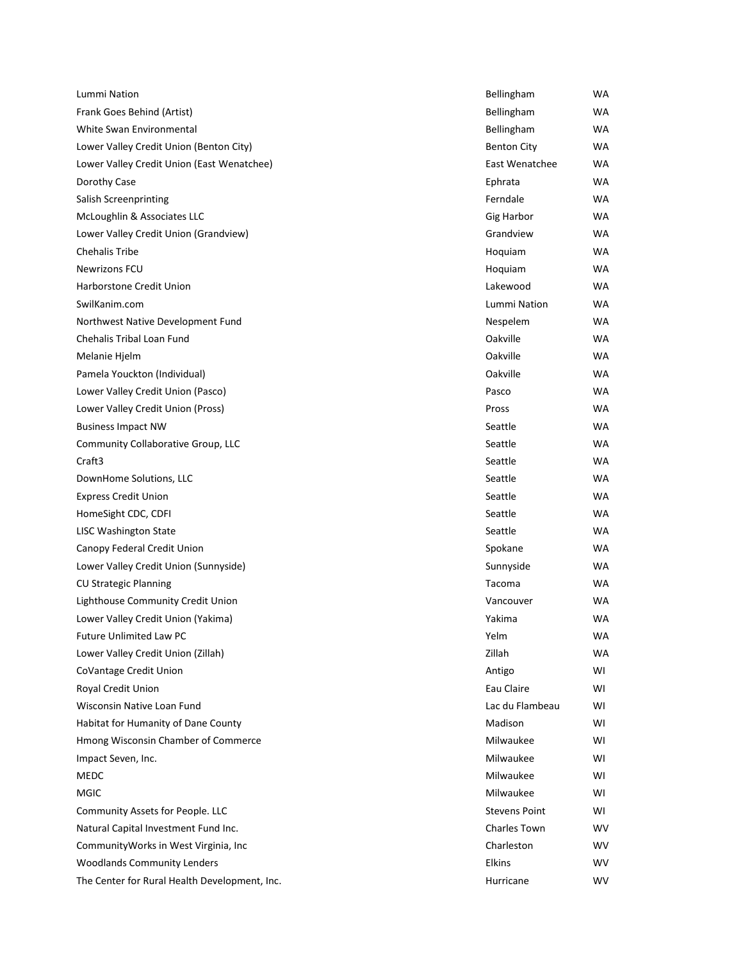| Lummi Nation                                  | Bellingham           | <b>WA</b> |
|-----------------------------------------------|----------------------|-----------|
| Frank Goes Behind (Artist)                    | Bellingham           | WA        |
| White Swan Environmental                      | Bellingham           | WA        |
| Lower Valley Credit Union (Benton City)       | <b>Benton City</b>   | WA        |
| Lower Valley Credit Union (East Wenatchee)    | East Wenatchee       | <b>WA</b> |
| Dorothy Case                                  | Ephrata              | WA        |
| Salish Screenprinting                         | Ferndale             | WA        |
| McLoughlin & Associates LLC                   | Gig Harbor           | WA        |
| Lower Valley Credit Union (Grandview)         | Grandview            | WA        |
| <b>Chehalis Tribe</b>                         | Hoquiam              | WA        |
| <b>Newrizons FCU</b>                          | Hoquiam              | WA        |
| Harborstone Credit Union                      | Lakewood             | WA        |
| SwilKanim.com                                 | Lummi Nation         | WA        |
| Northwest Native Development Fund             | Nespelem             | WA        |
| Chehalis Tribal Loan Fund                     | Oakville             | <b>WA</b> |
| Melanie Hjelm                                 | Oakville             | WA        |
| Pamela Youckton (Individual)                  | Oakville             | <b>WA</b> |
| Lower Valley Credit Union (Pasco)             | Pasco                | WA        |
| Lower Valley Credit Union (Pross)             | Pross                | WA        |
| <b>Business Impact NW</b>                     | Seattle              | <b>WA</b> |
| Community Collaborative Group, LLC            | Seattle              | WA        |
| Craft3                                        | Seattle              | <b>WA</b> |
| DownHome Solutions, LLC                       | Seattle              | WA        |
| <b>Express Credit Union</b>                   | Seattle              | WA        |
| HomeSight CDC, CDFI                           | Seattle              | <b>WA</b> |
| <b>LISC Washington State</b>                  | Seattle              | WA        |
| Canopy Federal Credit Union                   | Spokane              | <b>WA</b> |
| Lower Valley Credit Union (Sunnyside)         | Sunnyside            | WA        |
| <b>CU Strategic Planning</b>                  | Tacoma               | WA        |
| Lighthouse Community Credit Union             | Vancouver            | WA        |
| Lower Valley Credit Union (Yakima)            | Yakima               | WA        |
| <b>Future Unlimited Law PC</b>                | Yelm                 | WA        |
| Lower Valley Credit Union (Zillah)            | Zillah               | WA        |
| CoVantage Credit Union                        | Antigo               | WI        |
| <b>Royal Credit Union</b>                     | Eau Claire           | WI        |
| Wisconsin Native Loan Fund                    | Lac du Flambeau      | WI        |
| Habitat for Humanity of Dane County           | Madison              | WI        |
| Hmong Wisconsin Chamber of Commerce           | Milwaukee            | WI        |
| Impact Seven, Inc.                            | Milwaukee            | WI        |
| <b>MEDC</b>                                   | Milwaukee            | WI        |
| MGIC                                          | Milwaukee            | WI        |
| Community Assets for People. LLC              | <b>Stevens Point</b> | WI        |
| Natural Capital Investment Fund Inc.          | Charles Town         | <b>WV</b> |
| Community Works in West Virginia, Inc.        | Charleston           | <b>WV</b> |
| <b>Woodlands Community Lenders</b>            | <b>Elkins</b>        | <b>WV</b> |
| The Center for Rural Health Development, Inc. | Hurricane            | <b>WV</b> |